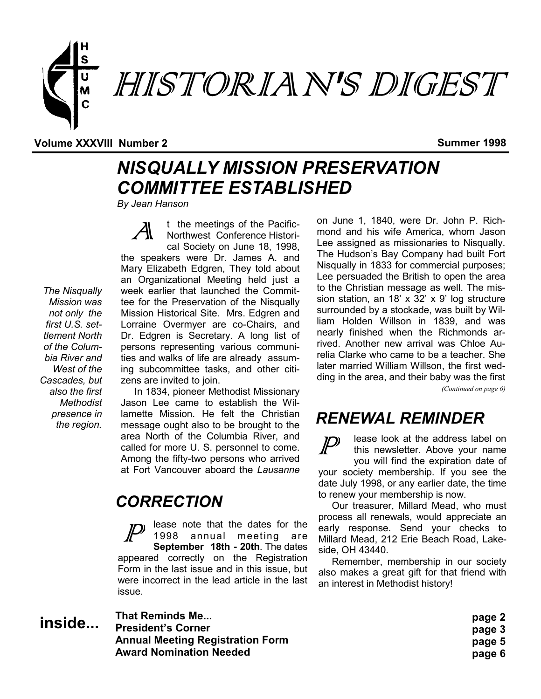

#### **Volume XXXVIII Number 2 Summer 1998**

## *NISQUALLY MISSION PRESERVATION COMMITTEE ESTABLISHED*

*By Jean Hanson*

t the meetings of the Pacific-Northwest Conference Historical Society on June 18, 1998, the speakers were Dr. James A. and Mary Elizabeth Edgren, They told about an Organizational Meeting held just a week earlier that launched the Committee for the Preservation of the Nisqually Mission Historical Site. Mrs. Edgren and Lorraine Overmyer are co-Chairs, and Dr. Edgren is Secretary. A long list of persons representing various communities and walks of life are already assuming subcommittee tasks, and other citizens are invited to join.

 In 1834, pioneer Methodist Missionary Jason Lee came to establish the Willamette Mission. He felt the Christian message ought also to be brought to the area North of the Columbia River, and called for more U. S. personnel to come. Among the fifty-two persons who arrived at Fort Vancouver aboard the *Lausanne* 

#### *CORRECTION*

lease note that the dates for the 1998 annual meeting are **September 18th - 20th**. The dates appeared correctly on the Registration Form in the last issue and in this issue, but were incorrect in the lead article in the last issue.

**That Reminds Me... President's Corner Annual Meeting Registration Form Award Nomination Needed inside...**

on June 1, 1840, were Dr. John P. Richmond and his wife America, whom Jason Lee assigned as missionaries to Nisqually. The Hudson's Bay Company had built Fort Nisqually in 1833 for commercial purposes; Lee persuaded the British to open the area to the Christian message as well. The mission station, an 18' x 32' x 9' log structure surrounded by a stockade, was built by William Holden Willson in 1839, and was nearly finished when the Richmonds arrived. Another new arrival was Chloe Aurelia Clarke who came to be a teacher. She later married William Willson, the first wedding in the area, and their baby was the first

*(Continued on page 6)*

#### *RENEWAL REMINDER*

lease look at the address label on  $\boldsymbol{\mathcal{P}}$ this newsletter. Above your name you will find the expiration date of your society membership. If you see the date July 1998, or any earlier date, the time to renew your membership is now.

 Our treasurer, Millard Mead, who must process all renewals, would appreciate an early response. Send your checks to Millard Mead, 212 Erie Beach Road, Lakeside, OH 43440.

 Remember, membership in our society also makes a great gift for that friend with an interest in Methodist history!

- **page 2 page 3 page 5**
- **page 6**

*The Nisqually Mission was not only the first U.S. settlement North of the Columbia River and West of the Cascades, but also the first Methodist presence in the region.*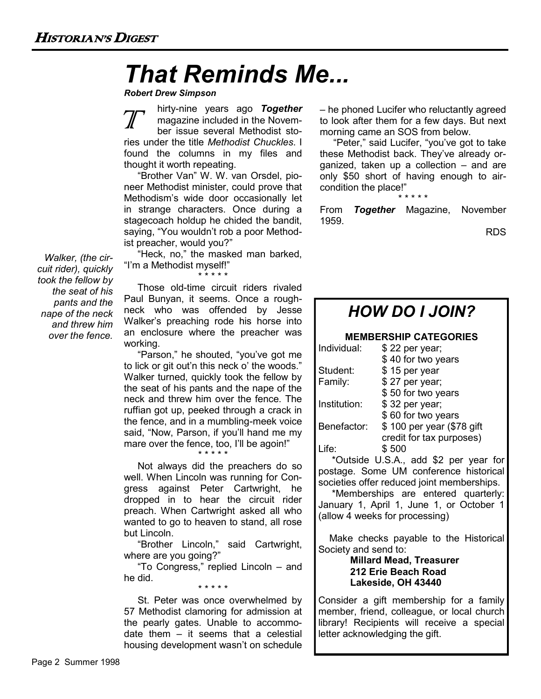## *That Reminds Me...*

*Robert Drew Simpson*

hirty-nine years ago *Together* magazine included in the November issue several Methodist stories under the title *Methodist Chuckles*. I found the columns in my files and thought it worth repeating.

 "Brother Van" W. W. van Orsdel, pioneer Methodist minister, could prove that Methodism's wide door occasionally let in strange characters. Once during a stagecoach holdup he chided the bandit, saying, "You wouldn't rob a poor Methodist preacher, would you?"

 "Heck, no," the masked man barked, "I'm a Methodist myself!"

\* \* \* \* \* Those old-time circuit riders rivaled Paul Bunyan, it seems. Once a roughneck who was offended by Jesse Walker's preaching rode his horse into an enclosure where the preacher was working.

 "Parson," he shouted, "you've got me to lick or git out'n this neck o' the woods." Walker turned, quickly took the fellow by the seat of his pants and the nape of the neck and threw him over the fence. The ruffian got up, peeked through a crack in the fence, and in a mumbling-meek voice said, "Now, Parson, if you'll hand me my mare over the fence, too, I'll be agoin!"

\* \* \* \* \*

 Not always did the preachers do so well. When Lincoln was running for Congress against Peter Cartwright, he dropped in to hear the circuit rider preach. When Cartwright asked all who wanted to go to heaven to stand, all rose but Lincoln.

 "Brother Lincoln," said Cartwright, where are you going?"

 "To Congress," replied Lincoln – and he did. \* \* \* \* \*

 St. Peter was once overwhelmed by 57 Methodist clamoring for admission at the pearly gates. Unable to accommodate them – it seems that a celestial housing development wasn't on schedule

– he phoned Lucifer who reluctantly agreed to look after them for a few days. But next morning came an SOS from below.

 "Peter," said Lucifer, "you've got to take these Methodist back. They've already organized, taken up a collection – and are only \$50 short of having enough to aircondition the place!" \* \* \* \* \*

From *Together* Magazine, November 1959.

RDS



*Walker, (the circuit rider), quickly took the fellow by the seat of his pants and the nape of the neck and threw him over the fence.*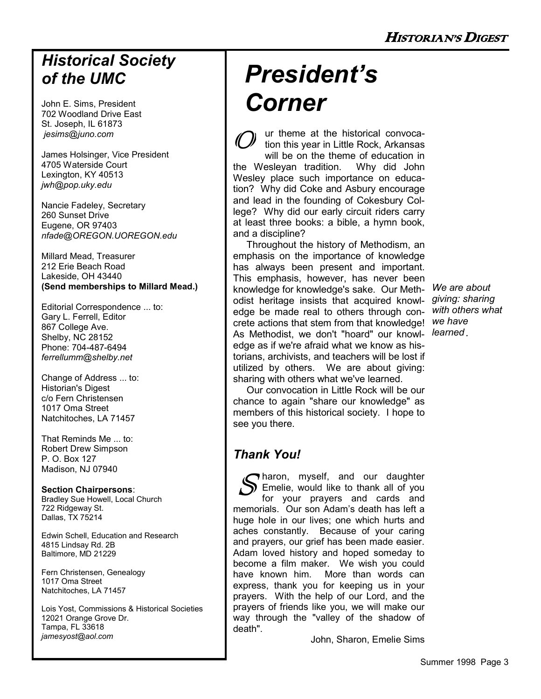### *Historical Society of the UMC*

John E. Sims, President 702 Woodland Drive East St. Joseph, IL 61873 *jesims@juno.com*

James Holsinger, Vice President 4705 Waterside Court Lexington, KY 40513 *jwh@pop.uky.edu*

Nancie Fadeley, Secretary 260 Sunset Drive Eugene, OR 97403 *nfade@OREGON.UOREGON.edu*

Millard Mead, Treasurer 212 Erie Beach Road Lakeside, OH 43440 **(Send memberships to Millard Mead.)**

Editorial Correspondence ... to: Gary L. Ferrell, Editor 867 College Ave. Shelby, NC 28152 Phone: 704-487-6494 *ferrellumm@shelby.net*

Change of Address ... to: Historian's Digest c/o Fern Christensen 1017 Oma Street Natchitoches, LA 71457

That Reminds Me ... to: Robert Drew Simpson P. O. Box 127 Madison, NJ 07940

#### **Section Chairpersons**:

Bradley Sue Howell, Local Church 722 Ridgeway St. Dallas, TX 75214

Edwin Schell, Education and Research 4815 Lindsay Rd. 2B Baltimore, MD 21229

Fern Christensen, Genealogy 1017 Oma Street Natchitoches, LA 71457

Lois Yost, Commissions & Historical Societies 12021 Orange Grove Dr. Tampa, FL 33618 *jamesyost@aol.com*

# *President's Corner*

ur theme at the historical convocation this year in Little Rock, Arkansas will be on the theme of education in the Wesleyan tradition. Why did John Wesley place such importance on education? Why did Coke and Asbury encourage and lead in the founding of Cokesbury College? Why did our early circuit riders carry at least three books: a bible, a hymn book, and a discipline?

 Throughout the history of Methodism, an emphasis on the importance of knowledge has always been present and important. This emphasis, however, has never been knowledge for knowledge's sake. Our Methodist heritage insists that acquired knowledge be made real to others through concrete actions that stem from that knowledge! *we have*  As Methodist, we don't "hoard" our knowl-*learned*edge as if we're afraid what we know as historians, archivists, and teachers will be lost if utilized by others. We are about giving: sharing with others what we've learned.

*We are about giving: sharing with others what* 

 Our convocation in Little Rock will be our chance to again "share our knowledge" as members of this historical society. I hope to see you there.

#### *Thank You!*

haron, myself, and our daughter Emelie, would like to thank all of you for your prayers and cards and memorials. Our son Adam's death has left a huge hole in our lives; one which hurts and aches constantly. Because of your caring and prayers, our grief has been made easier. Adam loved history and hoped someday to become a film maker. We wish you could have known him. More than words can express, thank you for keeping us in your prayers. With the help of our Lord, and the prayers of friends like you, we will make our way through the "valley of the shadow of death".

John, Sharon, Emelie Sims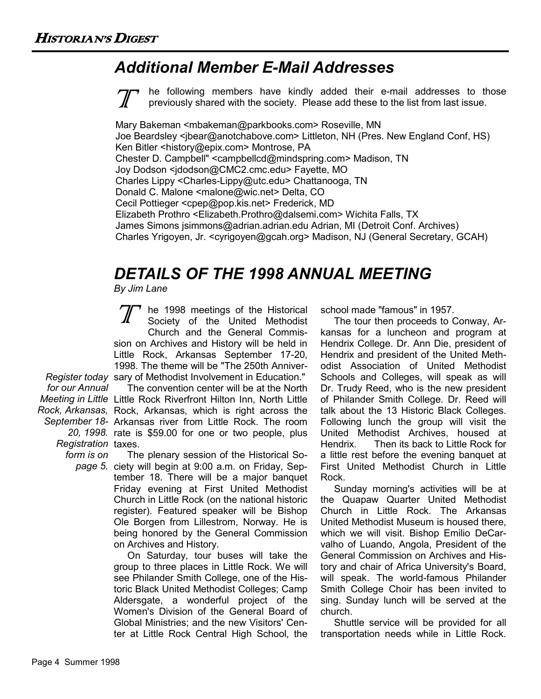### *Additional Member E-Mail Addresses*

he following members have kindly added their e-mail addresses to those previously shared with the society. Please add these to the list from last issue.

Mary Bakeman <mbakeman@parkbooks.com> Roseville, MN Joe Beardsley <ibear@anotchabove.com> Littleton, NH (Pres. New England Conf, HS) Ken Bitler <history@epix.com> Montrose, PA Chester D. Campbell" <campbellcd@mindspring.com> Madison, TN Joy Dodson <jdodson@CMC2.cmc.edu> Fayette, MO Charles Lippy <Charles-Lippy@utc.edu> Chattanooga, TN Donald C. Malone <malone@wic.net> Delta, CO Cecil Pottieger <cpep@pop.kis.net> Frederick, MD Elizabeth Prothro <Elizabeth.Prothro@dalsemi.com> Wichita Falls, TX James Simons jsimmons@adrian.adrian.edu Adrian, MI (Detroit Conf. Archives) Charles Yrigoyen, Jr. <cyrigoyen@gcah.org> Madison, NJ (General Secretary, GCAH)

### *DETAILS OF THE 1998 ANNUAL MEETING*

*By Jim Lane*

*Register today*  sary of Methodist Involvement in Education." *Meeting in Little*  Little Rock Riverfront Hilton Inn, North Little *Rock, Arkansas,*  Rock, Arkansas, which is right across the *September 18-* Arkansas river from Little Rock. The room *20, 1998.*  rate is \$59.00 for one or two people, plus he 1998 meetings of the Historical Society of the United Methodist Church and the General Commission on Archives and History will be held in Little Rock, Arkansas September 17-20, 1998. The theme will be "The 250th Anniver-The convention center will be at the North

*for our Annual Registration*  taxes. *form is on* 

*page 5.* ciety will begin at 9:00 a.m. on Friday, Sep- The plenary session of the Historical Sotember 18. There will be a major banquet Friday evening at First United Methodist Church in Little Rock (on the national historic register). Featured speaker will be Bishop Ole Borgen from Lillestrom, Norway. He is being honored by the General Commission on Archives and History.

> On Saturday, tour buses will take the group to three places in Little Rock. We will see Philander Smith College, one of the Historic Black United Methodist Colleges; Camp Aldersgate, a wonderful project of the Women's Division of the General Board of Global Ministries; and the new Visitors' Center at Little Rock Central High School, the

school made "famous" in 1957.

 The tour then proceeds to Conway, Arkansas for a luncheon and program at Hendrix College. Dr. Ann Die, president of Hendrix and president of the United Methodist Association of United Methodist Schools and Colleges, will speak as will Dr. Trudy Reed, who is the new president of Philander Smith College. Dr. Reed will talk about the 13 Historic Black Colleges. Following lunch the group will visit the United Methodist Archives, housed at Hendrix. Then its back to Little Rock for a little rest before the evening banquet at First United Methodist Church in Little Rock.

 Sunday morning's activities will be at the Quapaw Quarter United Methodist Church in Little Rock. The Arkansas United Methodist Museum is housed there, which we will visit. Bishop Emilio DeCarvalho of Luando, Angola, President of the General Commission on Archives and History and chair of Africa University's Board, will speak. The world-famous Philander Smith College Choir has been invited to sing. Sunday lunch will be served at the church.

 Shuttle service will be provided for all transportation needs while in Little Rock.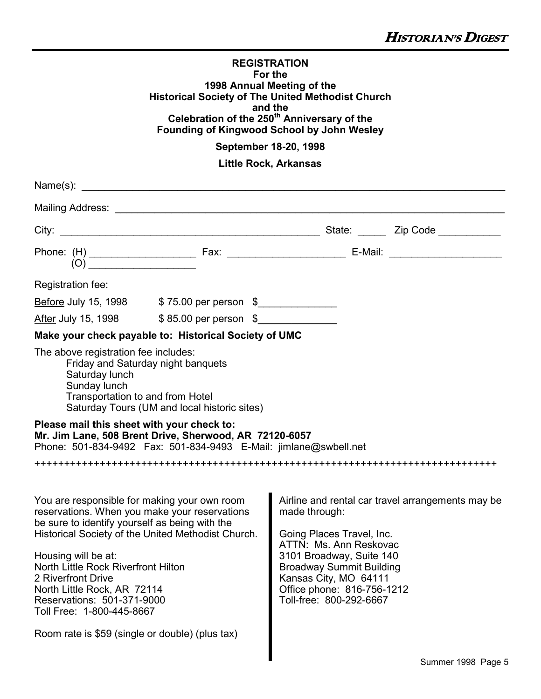| <b>REGISTRATION</b>                                      |
|----------------------------------------------------------|
| For the                                                  |
| 1998 Annual Meeting of the                               |
| <b>Historical Society of The United Methodist Church</b> |
| and the                                                  |
| Celebration of the 250 <sup>th</sup> Anniversary of the  |
| Founding of Kingwood School by John Wesley               |

**September 18-20, 1998**

**Little Rock, Arkansas**

| Name $(s)$ : $\overline{\phantom{a}}$<br><u> 1980 - Jan Sterling von de Sterling von de Sterling von de Sterling von de Sterling von de Sterling von de S</u>                                                                                                                                                                                                                                                                                                                                                                                               |                                                                                                                                                                                                                                                                     |  |
|-------------------------------------------------------------------------------------------------------------------------------------------------------------------------------------------------------------------------------------------------------------------------------------------------------------------------------------------------------------------------------------------------------------------------------------------------------------------------------------------------------------------------------------------------------------|---------------------------------------------------------------------------------------------------------------------------------------------------------------------------------------------------------------------------------------------------------------------|--|
|                                                                                                                                                                                                                                                                                                                                                                                                                                                                                                                                                             |                                                                                                                                                                                                                                                                     |  |
| (0)                                                                                                                                                                                                                                                                                                                                                                                                                                                                                                                                                         |                                                                                                                                                                                                                                                                     |  |
| Registration fee:<br>Before July 15, 1998 \$75.00 per person \$<br>After July 15, 1998 \$85.00 per person \$<br>Make your check payable to: Historical Society of UMC<br>The above registration fee includes:<br>Friday and Saturday night banquets<br>Saturday lunch<br>Sunday lunch<br>Transportation to and from Hotel<br>Saturday Tours (UM and local historic sites)<br>Please mail this sheet with your check to:<br>Mr. Jim Lane, 508 Brent Drive, Sherwood, AR 72120-6057<br>Phone: 501-834-9492    Fax: 501-834-9493    E-Mail: jimlane@swbell.net |                                                                                                                                                                                                                                                                     |  |
| You are responsible for making your own room<br>reservations. When you make your reservations<br>be sure to identify yourself as being with the<br>Historical Society of the United Methodist Church.<br>Housing will be at:<br>North Little Rock Riverfront Hilton<br>2 Riverfront Drive<br>North Little Rock, AR 72114<br>Reservations: 501-371-9000<br>Toll Free: 1-800-445-8667<br>Room rate is \$59 (single or double) (plus tax)                                                                                                                      | Airline and rental car travel arrangements may be<br>made through:<br>Going Places Travel, Inc.<br>ATTN: Ms. Ann Reskovac<br>3101 Broadway, Suite 140<br>Broadway Summit Building<br>Kansas City, MO 64111<br>Office phone: 816-756-1212<br>Toll-free: 800-292-6667 |  |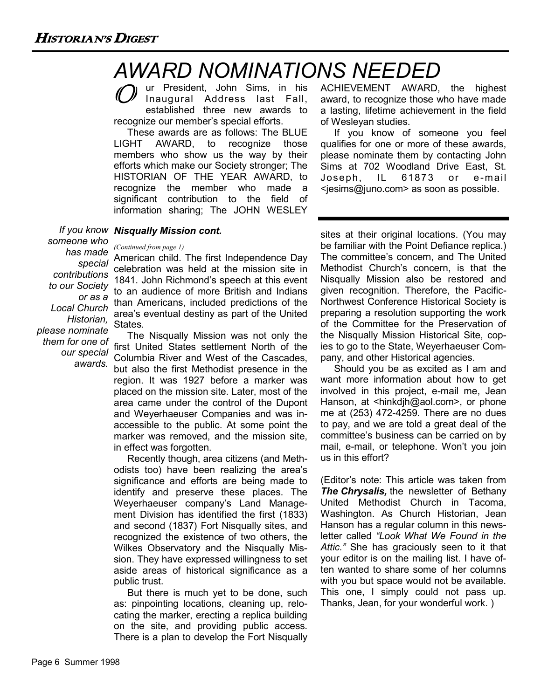## *AWARD NOMINATIONS NEEDED*

ur President, John Sims, in his Inaugural Address last Fall, established three new awards to recognize our member's special efforts.

 These awards are as follows: The BLUE LIGHT AWARD, to recognize those members who show us the way by their efforts which make our Society stronger; The HISTORIAN OF THE YEAR AWARD, to recognize the member who made a significant contribution to the field of information sharing; The JOHN WESLEY

#### *If you know Nisqually Mission cont.*

*someone who has made (Continued from page 1)*

*special contributions to our Society or as a Local Church Historian, please nominate them for one of our special awards.*

American child. The first Independence Day celebration was held at the mission site in 1841. John Richmond's speech at this event to an audience of more British and Indians than Americans, included predictions of the area's eventual destiny as part of the United States.

 The Nisqually Mission was not only the first United States settlement North of the Columbia River and West of the Cascades, but also the first Methodist presence in the region. It was 1927 before a marker was placed on the mission site. Later, most of the area came under the control of the Dupont and Weyerhaeuser Companies and was inaccessible to the public. At some point the marker was removed, and the mission site, in effect was forgotten.

 Recently though, area citizens (and Methodists too) have been realizing the area's significance and efforts are being made to identify and preserve these places. The Weyerhaeuser company's Land Management Division has identified the first (1833) and second (1837) Fort Nisqually sites, and recognized the existence of two others, the Wilkes Observatory and the Nisqually Mission. They have expressed willingness to set aside areas of historical significance as a public trust.

 But there is much yet to be done, such as: pinpointing locations, cleaning up, relocating the marker, erecting a replica building on the site, and providing public access. There is a plan to develop the Fort Nisqually ACHIEVEMENT AWARD, the highest award, to recognize those who have made a lasting, lifetime achievement in the field of Wesleyan studies.

 If you know of someone you feel qualifies for one or more of these awards, please nominate them by contacting John Sims at 702 Woodland Drive East, St. Joseph, IL 61873 or e-mail <jesims@juno.com> as soon as possible.

sites at their original locations. (You may be familiar with the Point Defiance replica.) The committee's concern, and The United Methodist Church's concern, is that the Nisqually Mission also be restored and given recognition. Therefore, the Pacific-Northwest Conference Historical Society is preparing a resolution supporting the work of the Committee for the Preservation of the Nisqually Mission Historical Site, copies to go to the State, Weyerhaeuser Company, and other Historical agencies.

 Should you be as excited as I am and want more information about how to get involved in this project, e-mail me, Jean Hanson, at <hinkdjh@aol.com>, or phone me at (253) 472-4259. There are no dues to pay, and we are told a great deal of the committee's business can be carried on by mail, e-mail, or telephone. Won't you join us in this effort?

(Editor's note: This article was taken from **The Chrysalis, the newsletter of Bethany** United Methodist Church in Tacoma, Washington. As Church Historian, Jean Hanson has a regular column in this newsletter called *"Look What We Found in the Attic."* She has graciously seen to it that your editor is on the mailing list. I have often wanted to share some of her columns with you but space would not be available. This one, I simply could not pass up. Thanks, Jean, for your wonderful work. )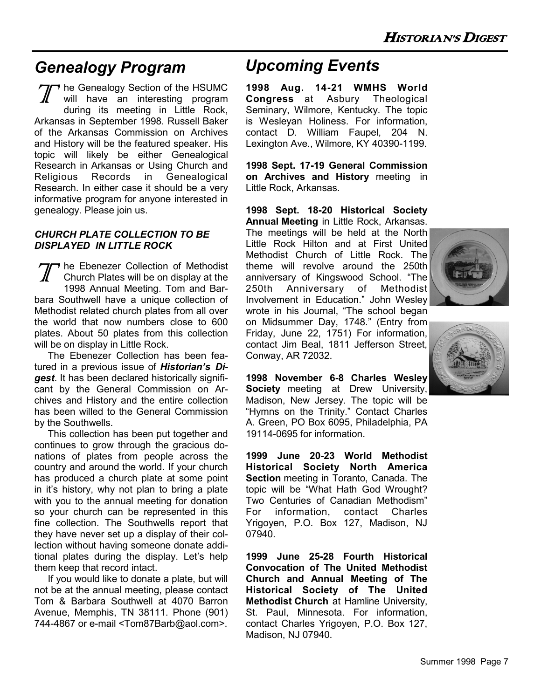### *Genealogy Program Upcoming Events*

The Genealogy Section of the HSUMC will have an interesting program during its meeting in Little Rock, Arkansas in September 1998. Russell Baker of the Arkansas Commission on Archives and History will be the featured speaker. His topic will likely be either Genealogical Research in Arkansas or Using Church and Religious Records in Genealogical Research. In either case it should be a very informative program for anyone interested in genealogy. Please join us.

#### *CHURCH PLATE COLLECTION TO BE DISPLAYED IN LITTLE ROCK*

Tr he Ebenezer Collection of Methodist Church Plates will be on display at the 1998 Annual Meeting. Tom and Barbara Southwell have a unique collection of Methodist related church plates from all over the world that now numbers close to 600 plates. About 50 plates from this collection will be on display in Little Rock.

 The Ebenezer Collection has been featured in a previous issue of *Historian's Digest*. It has been declared historically significant by the General Commission on Archives and History and the entire collection has been willed to the General Commission by the Southwells.

 This collection has been put together and continues to grow through the gracious donations of plates from people across the country and around the world. If your church has produced a church plate at some point in it's history, why not plan to bring a plate with you to the annual meeting for donation so your church can be represented in this fine collection. The Southwells report that they have never set up a display of their collection without having someone donate additional plates during the display. Let's help them keep that record intact.

 If you would like to donate a plate, but will not be at the annual meeting, please contact Tom & Barbara Southwell at 4070 Barron Avenue, Memphis, TN 38111. Phone (901) 744-4867 or e-mail <Tom87Barb@aol.com>.

**1998 Aug. 14-21 WMHS World Congress** at Asbury Theological Seminary, Wilmore, Kentucky. The topic is Wesleyan Holiness. For information, contact D. William Faupel, 204 N. Lexington Ave., Wilmore, KY 40390-1199.

**1998 Sept. 17-19 General Commission on Archives and History** meeting in Little Rock, Arkansas.

**1998 Sept. 18-20 Historical Society Annual Meeting** in Little Rock, Arkansas. The meetings will be held at the North Little Rock Hilton and at First United Methodist Church of Little Rock. The theme will revolve around the 250th anniversary of Kingswood School. "The 250th Anniversary of Methodist Involvement in Education." John Wesley wrote in his Journal, "The school began on Midsummer Day, 1748." (Entry from Friday, June 22, 1751) For information, contact Jim Beal, 1811 Jefferson Street, Conway, AR 72032.

**1998 November 6-8 Charles Wesley Society** meeting at Drew University, Madison, New Jersey. The topic will be "Hymns on the Trinity." Contact Charles A. Green, PO Box 6095, Philadelphia, PA 19114-0695 for information.

**1999 June 20-23 World Methodist Historical Society North America Section** meeting in Toranto, Canada. The topic will be "What Hath God Wrought? Two Centuries of Canadian Methodism" For information, contact Charles Yrigoyen, P.O. Box 127, Madison, NJ 07940.

**1999 June 25-28 Fourth Historical Convocation of The United Methodist Church and Annual Meeting of The Historical Society of The United Methodist Church** at Hamline University, St. Paul, Minnesota. For information, contact Charles Yrigoyen, P.O. Box 127, Madison, NJ 07940.